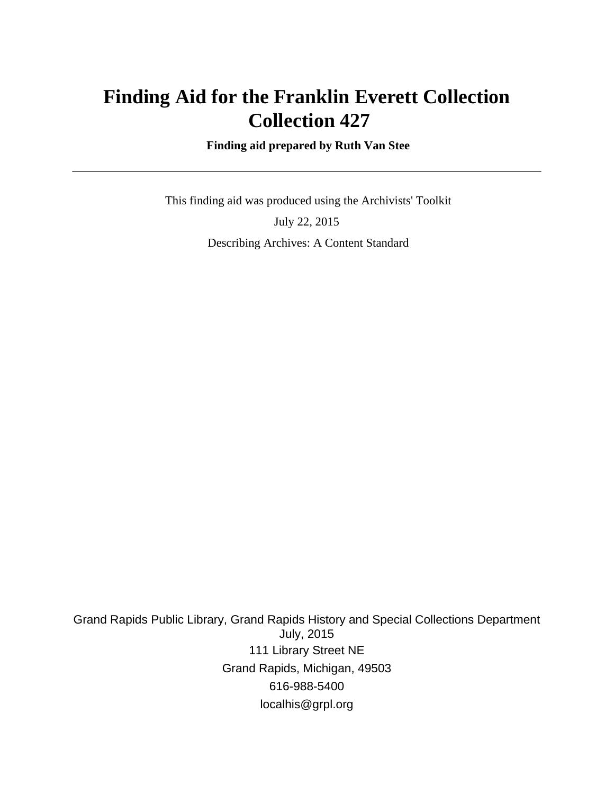# **Finding Aid for the Franklin Everett Collection Collection 427**

 **Finding aid prepared by Ruth Van Stee**

 This finding aid was produced using the Archivists' Toolkit July 22, 2015 Describing Archives: A Content Standard

Grand Rapids Public Library, Grand Rapids History and Special Collections Department July, 2015 111 Library Street NE Grand Rapids, Michigan, 49503 616-988-5400 localhis@grpl.org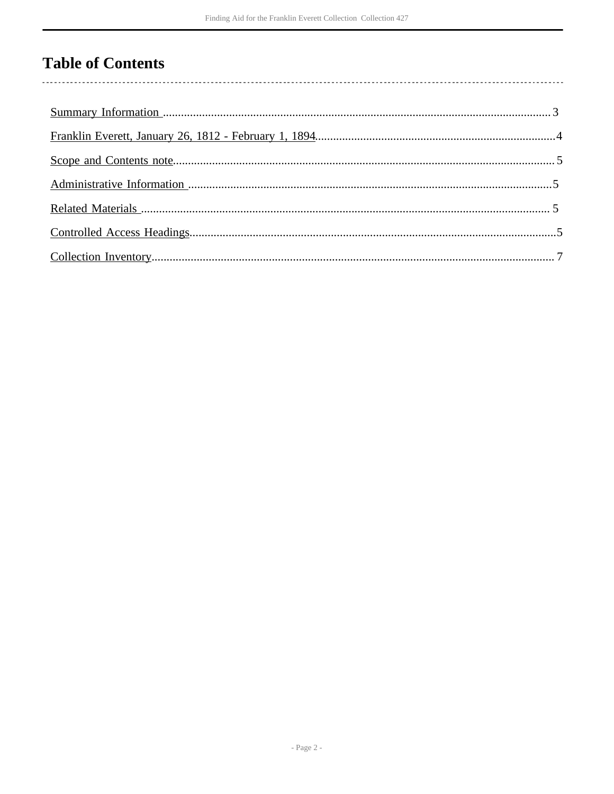# **Table of Contents**

 $\overline{\phantom{a}}$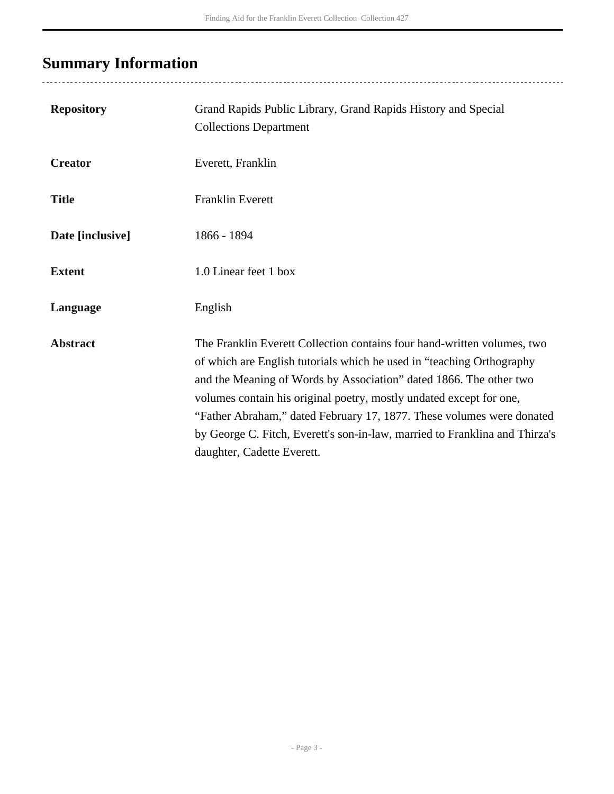# <span id="page-2-0"></span>**Summary Information**

| <b>Repository</b> | Grand Rapids Public Library, Grand Rapids History and Special<br><b>Collections Department</b>                                                                                                                                                                                                                                                                                                                                                                                       |
|-------------------|--------------------------------------------------------------------------------------------------------------------------------------------------------------------------------------------------------------------------------------------------------------------------------------------------------------------------------------------------------------------------------------------------------------------------------------------------------------------------------------|
| <b>Creator</b>    | Everett, Franklin                                                                                                                                                                                                                                                                                                                                                                                                                                                                    |
| <b>Title</b>      | <b>Franklin Everett</b>                                                                                                                                                                                                                                                                                                                                                                                                                                                              |
| Date [inclusive]  | 1866 - 1894                                                                                                                                                                                                                                                                                                                                                                                                                                                                          |
| <b>Extent</b>     | 1.0 Linear feet 1 box                                                                                                                                                                                                                                                                                                                                                                                                                                                                |
| Language          | English                                                                                                                                                                                                                                                                                                                                                                                                                                                                              |
| <b>Abstract</b>   | The Franklin Everett Collection contains four hand-written volumes, two<br>of which are English tutorials which he used in "teaching Orthography"<br>and the Meaning of Words by Association" dated 1866. The other two<br>volumes contain his original poetry, mostly undated except for one,<br>"Father Abraham," dated February 17, 1877. These volumes were donated<br>by George C. Fitch, Everett's son-in-law, married to Franklina and Thirza's<br>daughter, Cadette Everett. |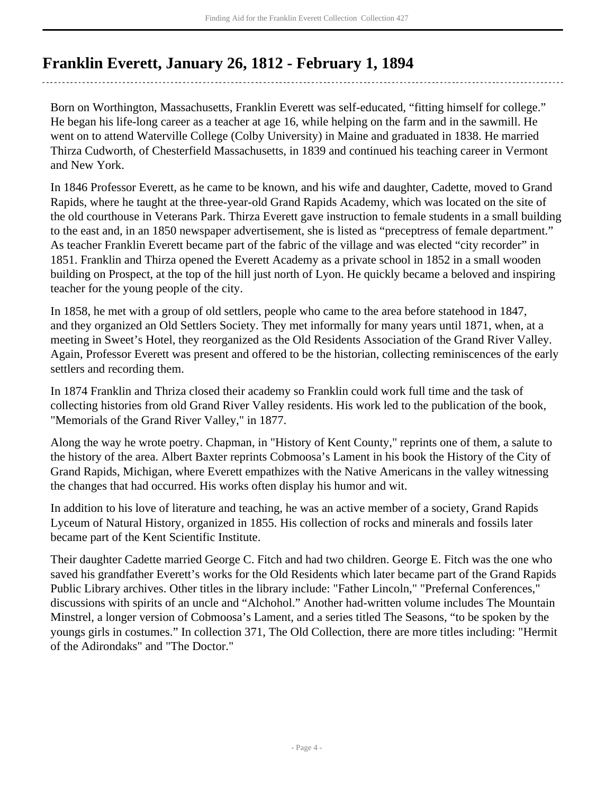### <span id="page-3-0"></span>**Franklin Everett, January 26, 1812 - February 1, 1894**

Born on Worthington, Massachusetts, Franklin Everett was self-educated, "fitting himself for college." He began his life-long career as a teacher at age 16, while helping on the farm and in the sawmill. He went on to attend Waterville College (Colby University) in Maine and graduated in 1838. He married Thirza Cudworth, of Chesterfield Massachusetts, in 1839 and continued his teaching career in Vermont and New York.

In 1846 Professor Everett, as he came to be known, and his wife and daughter, Cadette, moved to Grand Rapids, where he taught at the three-year-old Grand Rapids Academy, which was located on the site of the old courthouse in Veterans Park. Thirza Everett gave instruction to female students in a small building to the east and, in an 1850 newspaper advertisement, she is listed as "preceptress of female department." As teacher Franklin Everett became part of the fabric of the village and was elected "city recorder" in 1851. Franklin and Thirza opened the Everett Academy as a private school in 1852 in a small wooden building on Prospect, at the top of the hill just north of Lyon. He quickly became a beloved and inspiring teacher for the young people of the city.

In 1858, he met with a group of old settlers, people who came to the area before statehood in 1847, and they organized an Old Settlers Society. They met informally for many years until 1871, when, at a meeting in Sweet's Hotel, they reorganized as the Old Residents Association of the Grand River Valley. Again, Professor Everett was present and offered to be the historian, collecting reminiscences of the early settlers and recording them.

In 1874 Franklin and Thriza closed their academy so Franklin could work full time and the task of collecting histories from old Grand River Valley residents. His work led to the publication of the book, "Memorials of the Grand River Valley," in 1877.

Along the way he wrote poetry. Chapman, in "History of Kent County," reprints one of them, a salute to the history of the area. Albert Baxter reprints Cobmoosa's Lament in his book the History of the City of Grand Rapids, Michigan, where Everett empathizes with the Native Americans in the valley witnessing the changes that had occurred. His works often display his humor and wit.

In addition to his love of literature and teaching, he was an active member of a society, Grand Rapids Lyceum of Natural History, organized in 1855. His collection of rocks and minerals and fossils later became part of the Kent Scientific Institute.

Their daughter Cadette married George C. Fitch and had two children. George E. Fitch was the one who saved his grandfather Everett's works for the Old Residents which later became part of the Grand Rapids Public Library archives. Other titles in the library include: "Father Lincoln," "Prefernal Conferences," discussions with spirits of an uncle and "Alchohol." Another had-written volume includes The Mountain Minstrel, a longer version of Cobmoosa's Lament, and a series titled The Seasons, "to be spoken by the youngs girls in costumes." In collection 371, The Old Collection, there are more titles including: "Hermit of the Adirondaks" and "The Doctor."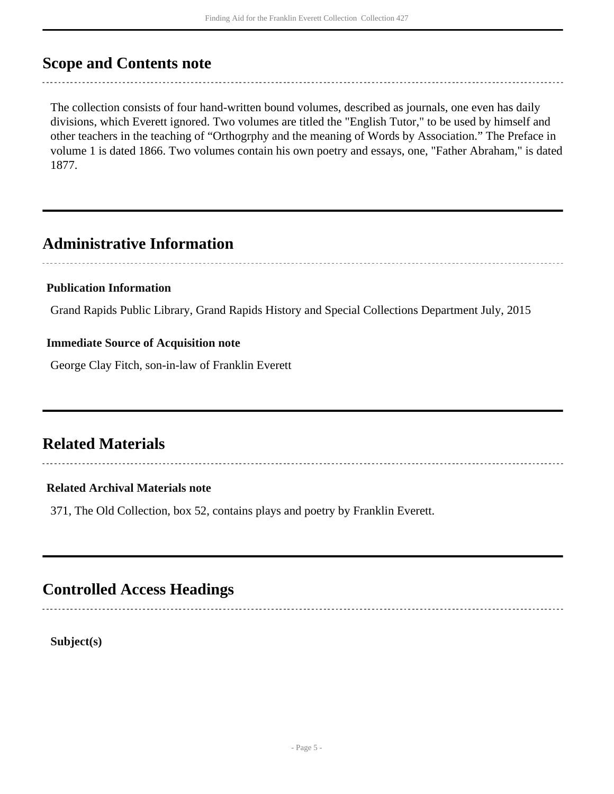### <span id="page-4-0"></span>**Scope and Contents note**

The collection consists of four hand-written bound volumes, described as journals, one even has daily divisions, which Everett ignored. Two volumes are titled the "English Tutor," to be used by himself and other teachers in the teaching of "Orthogrphy and the meaning of Words by Association." The Preface in volume 1 is dated 1866. Two volumes contain his own poetry and essays, one, "Father Abraham," is dated 1877.

### <span id="page-4-1"></span>**Administrative Information**

#### **Publication Information**

Grand Rapids Public Library, Grand Rapids History and Special Collections Department July, 2015

#### **Immediate Source of Acquisition note**

George Clay Fitch, son-in-law of Franklin Everett

### <span id="page-4-2"></span>**Related Materials**

#### **Related Archival Materials note**

371, The Old Collection, box 52, contains plays and poetry by Franklin Everett.

### <span id="page-4-3"></span>**Controlled Access Headings**

**Subject(s)**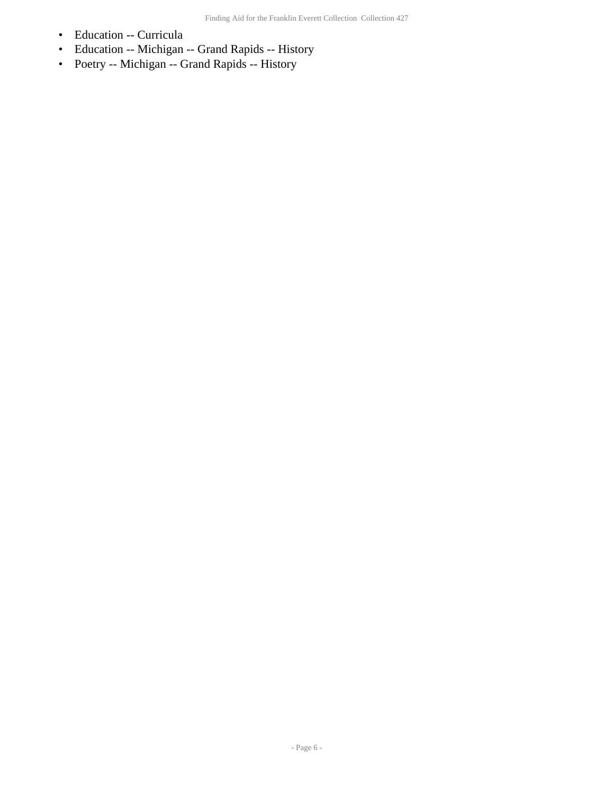- Education -- Curricula
- Education -- Michigan -- Grand Rapids -- History
- Poetry -- Michigan -- Grand Rapids -- History